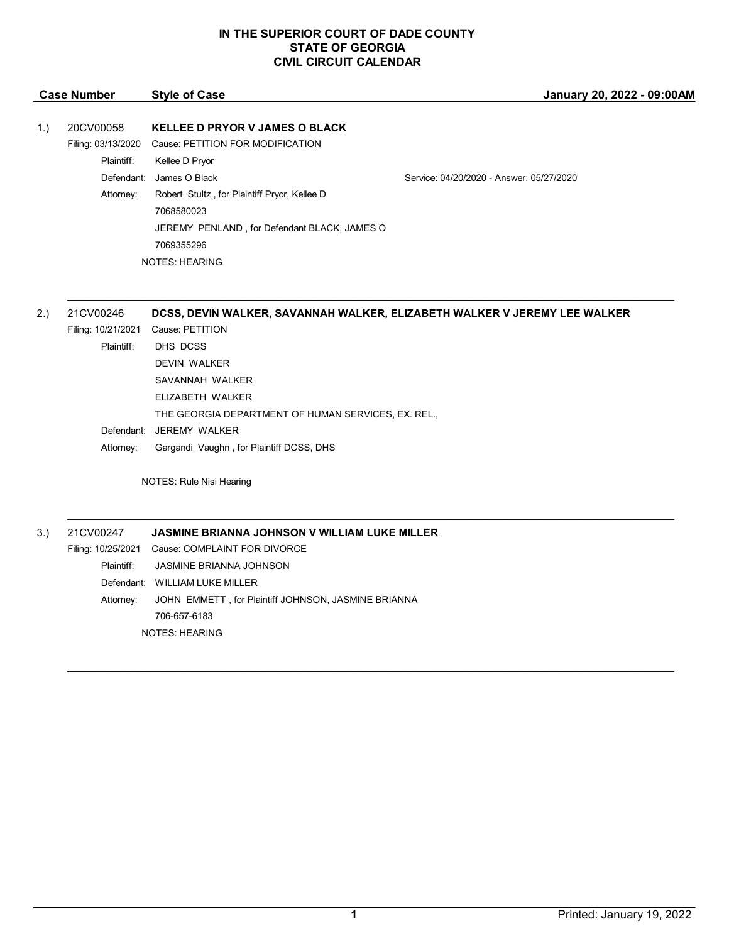### **IN THE SUPERIOR COURT OF DADE COUNTY STATE OF GEORGIA CIVIL CIRCUIT CALENDAR**

| <b>Case Number</b> |                                                                          | <b>Style of Case</b>                                                                                                                                                                                                                                              | January 20, 2022 - 09:00AM               |
|--------------------|--------------------------------------------------------------------------|-------------------------------------------------------------------------------------------------------------------------------------------------------------------------------------------------------------------------------------------------------------------|------------------------------------------|
| 1.)                | 20CV00058<br>Filing: 03/13/2020<br>Plaintiff:<br>Defendant:<br>Attorney: | <b>KELLEE D PRYOR V JAMES O BLACK</b><br>Cause: PETITION FOR MODIFICATION<br>Kellee D Pryor<br>James O Black<br>Robert Stultz, for Plaintiff Pryor, Kellee D<br>7068580023<br>JEREMY PENLAND, for Defendant BLACK, JAMES O<br>7069355296<br><b>NOTES: HEARING</b> | Service: 04/20/2020 - Answer: 05/27/2020 |
|                    |                                                                          |                                                                                                                                                                                                                                                                   |                                          |

 $\mathcal{L}_\mathcal{L} = \mathcal{L}_\mathcal{L} = \mathcal{L}_\mathcal{L} = \mathcal{L}_\mathcal{L} = \mathcal{L}_\mathcal{L} = \mathcal{L}_\mathcal{L} = \mathcal{L}_\mathcal{L} = \mathcal{L}_\mathcal{L} = \mathcal{L}_\mathcal{L} = \mathcal{L}_\mathcal{L} = \mathcal{L}_\mathcal{L} = \mathcal{L}_\mathcal{L} = \mathcal{L}_\mathcal{L} = \mathcal{L}_\mathcal{L} = \mathcal{L}_\mathcal{L} = \mathcal{L}_\mathcal{L} = \mathcal{L}_\mathcal{L}$ 

 $\mathcal{L}_\mathcal{L} = \mathcal{L}_\mathcal{L} = \mathcal{L}_\mathcal{L} = \mathcal{L}_\mathcal{L} = \mathcal{L}_\mathcal{L} = \mathcal{L}_\mathcal{L} = \mathcal{L}_\mathcal{L} = \mathcal{L}_\mathcal{L} = \mathcal{L}_\mathcal{L} = \mathcal{L}_\mathcal{L} = \mathcal{L}_\mathcal{L} = \mathcal{L}_\mathcal{L} = \mathcal{L}_\mathcal{L} = \mathcal{L}_\mathcal{L} = \mathcal{L}_\mathcal{L} = \mathcal{L}_\mathcal{L} = \mathcal{L}_\mathcal{L}$ 

\_\_\_\_\_\_\_\_\_\_\_\_\_\_\_\_\_\_\_\_\_\_\_\_\_\_\_\_\_\_\_\_\_\_\_\_\_\_\_\_\_\_\_\_\_\_\_\_\_\_\_\_\_\_\_\_\_\_\_\_\_\_\_\_\_\_\_\_\_\_\_\_\_\_\_\_\_\_\_\_\_\_\_\_\_\_\_\_\_\_\_\_\_\_\_\_\_\_\_\_\_\_\_\_\_\_\_\_\_\_\_\_\_\_\_\_\_\_

# 2.) 21CV00246 **DCSS, DEVIN WALKER, SAVANNAH WALKER, ELIZABETH WALKER V JEREMY LEE WALKER**

- Filing: 10/21/2021 Cause: PETITION Plaintiff: DHS DCSS DEVIN WALKER SAVANNAH WALKER ELIZABETH WALKER THE GEORGIA DEPARTMENT OF HUMAN SERVICES, EX. REL., Defendant: JEREMY WALKER
	- Attorney: Gargandi Vaughn , for Plaintiff DCSS, DHS

NOTES: Rule Nisi Hearing

3.) 21CV00247 **JASMINE BRIANNA JOHNSON V WILLIAM LUKE MILLER**

Filing: 10/25/2021 Cause: COMPLAINT FOR DIVORCE Plaintiff: JASMINE BRIANNA JOHNSON Defendant: WILLIAM LUKE MILLER Attorney: JOHN EMMETT , for Plaintiff JOHNSON, JASMINE BRIANNA 706-657-6183 NOTES: HEARING